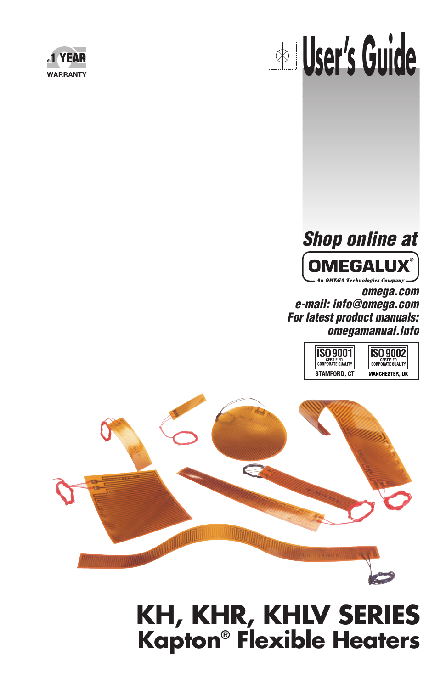

# **User's Guide**



**omega.com e-mail: info@omega.com For latest product manuals: omegamanual.info**





# **KH, KHR, KHLV SERIES Kapton® Flexible Heaters**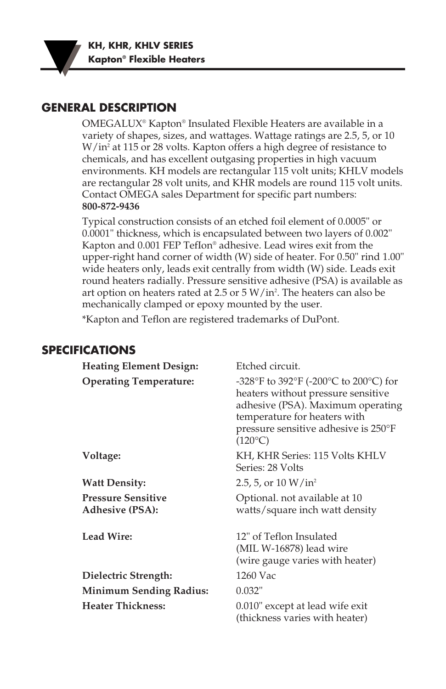**KH, KHR, KHLV SERIES Kapton® Flexible Heaters**

#### **GENERAL DESCRIPTION**

OMEGALUX® Kapton® Insulated Flexible Heaters are available in a variety of shapes, sizes, and wattages. Wattage ratings are 2.5, 5, or 10 W/in2 at 115 or 28 volts. Kapton offers a high degree of resistance to chemicals, and has excellent outgasing properties in high vacuum environments. KH models are rectangular 115 volt units; KHLV models are rectangular 28 volt units, and KHR models are round 115 volt units. Contact OMEGA sales Department for specific part numbers: **800-872-9436**

Typical construction consists of an etched foil element of 0.0005" or 0.0001" thickness, which is encapsulated between two layers of 0.002" Kapton and 0.001 FEP TefIon® adhesive. Lead wires exit from the upper-right hand corner of width (W) side of heater. For 0.50" rind 1.00" wide heaters only, leads exit centrally from width (W) side. Leads exit round heaters radially. Pressure sensitive adhesive (PSA) is available as art option on heaters rated at 2.5 or 5 W/in<sup>2</sup>. The heaters can also be mechanically clamped or epoxy mounted by the user.

\*Kapton and Teflon are registered trademarks of DuPont.

#### **SPECIFICATIONS**

| <b>Heating Element Design:</b>                      | Etched circuit.                                                                                                                                                                                              |  |  |
|-----------------------------------------------------|--------------------------------------------------------------------------------------------------------------------------------------------------------------------------------------------------------------|--|--|
| <b>Operating Temperature:</b>                       | -328°F to 392°F (-200°C to 200°C) for<br>heaters without pressure sensitive<br>adhesive (PSA). Maximum operating<br>temperature for heaters with<br>pressure sensitive adhesive is 250°F<br>$(120^{\circ}C)$ |  |  |
| Voltage:                                            | KH, KHR Series: 115 Volts KHLV<br>Series: 28 Volts                                                                                                                                                           |  |  |
| <b>Watt Density:</b>                                | 2.5, 5, or $10 W/in^2$                                                                                                                                                                                       |  |  |
| <b>Pressure Sensitive</b><br><b>Adhesive (PSA):</b> | Optional. not available at 10<br>watts/square inch watt density                                                                                                                                              |  |  |
| Lead Wire:                                          | 12" of Teflon Insulated<br>(MIL W-16878) lead wire<br>(wire gauge varies with heater)                                                                                                                        |  |  |
| Dielectric Strength:                                | 1260 Vac                                                                                                                                                                                                     |  |  |
| <b>Minimum Sending Radius:</b>                      | 0.032"                                                                                                                                                                                                       |  |  |
| <b>Heater Thickness:</b>                            | 0.010" except at lead wife exit<br>(thickness varies with heater)                                                                                                                                            |  |  |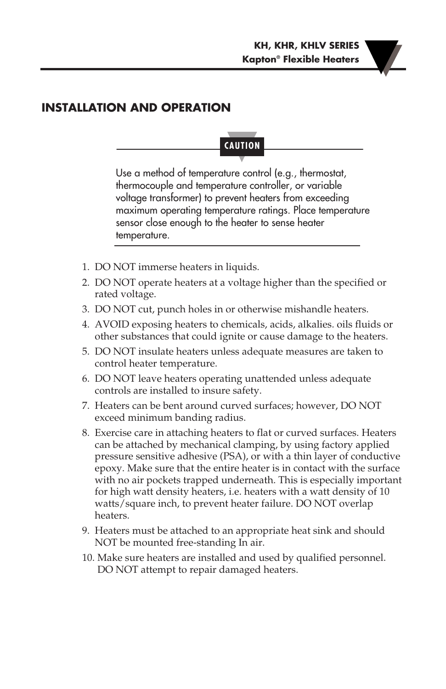### **INSTALLATION AND OPERATION**

## **CAUTION**

Use a method of temperature control (e.g., thermostat, thermocouple and temperature controller, or variable voltage transformer) to prevent heaters from exceeding maximum operating temperature ratings. Place temperature sensor close enough to the heater to sense heater temperature.

- 1. DO NOT immerse heaters in liquids.
- 2. DO NOT operate heaters at a voltage higher than the specified or rated voltage.
- 3. DO NOT cut, punch holes in or otherwise mishandle heaters.
- 4. AVOID exposing heaters to chemicals, acids, alkalies. oils fluids or other substances that could ignite or cause damage to the heaters.
- 5. DO NOT insulate heaters unless adequate measures are taken to control heater temperature.
- 6. DO NOT leave heaters operating unattended unless adequate controls are installed to insure safety.
- 7. Heaters can be bent around curved surfaces; however, DO NOT exceed minimum banding radius.
- 8. Exercise care in attaching heaters to flat or curved surfaces. Heaters can be attached by mechanical clamping, by using factory applied pressure sensitive adhesive (PSA), or with a thin layer of conductive epoxy. Make sure that the entire heater is in contact with the surface with no air pockets trapped underneath. This is especially important for high watt density heaters, i.e. heaters with a watt density of 10 watts/square inch, to prevent heater failure. DO NOT overlap heaters.
- 9. Heaters must be attached to an appropriate heat sink and should NOT be mounted free-standing In air.
- 10. Make sure heaters are installed and used by qualified personnel. DO NOT attempt to repair damaged heaters.